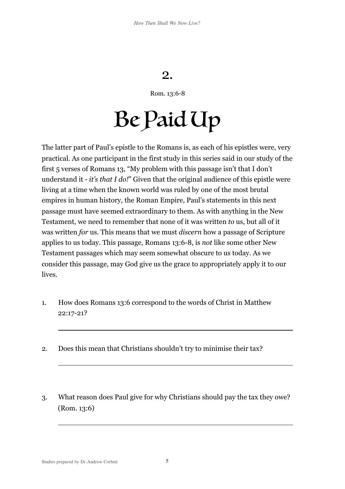## 2.

Rom. 13:6-8

## Be Paid Up

The latter part of Paul's epistle to the Romans is, as each of his epistles were, very practical. As one participant in the first study in this series said in our study of the first 5 verses of Romans 13, "My problem with this passage isn't that I don't understand it - *it's that I do!*" Given that the original audience of this epistle were living at a time when the known world was ruled by one of the most brutal empires in human history, the Roman Empire, Paul's statements in this next passage must have seemed extraordinary to them. As with anything in the New Testament, we need to remember that none of it was written *to* us, but all of it was written *for* us. This means that we must *discern* how a passage of Scripture applies to us today. This passage, Romans 13:6-8, is *not* like some other New Testament passages which may seem somewhat obscure to us today. As we consider this passage, may God give us the grace to appropriately apply it to our lives.

- 1. How does Romans 13:6 correspond to the words of Christ in Matthew 22:17-21?
- 2. Does this mean that Christians shouldn't try to minimise their tax?
- 3. What reason does Paul give for why Christians should pay the tax they owe? (Rom. 13:6)

 $\overline{a}$ 

 $\overline{a}$ 

 $\overline{a}$